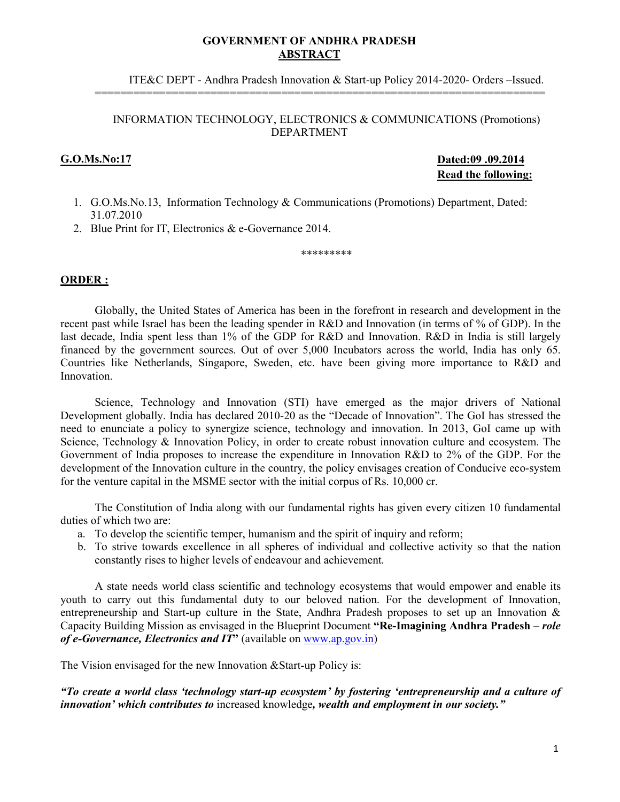#### **GOVERNMENT OF ANDHRA PRADESH ABSTRACT**

ITE&C DEPT - Andhra Pradesh Innovation & Start-up Policy 2014-2020- Orders –Issued.

#### INFORMATION TECHNOLOGY, ELECTRONICS & COMMUNICATIONS (Promotions) DEPARTMENT

======================================================================

**G.O.Ms.No:17 Dated:09 .09.2014 Read the following:**

- 1. G.O.Ms.No.13, Information Technology & Communications (Promotions) Department, Dated: 31.07.2010
- 2. Blue Print for IT, Electronics & e-Governance 2014.

\*\*\*\*\*\*\*\*\*

#### **ORDER :**

Globally, the United States of America has been in the forefront in research and development in the recent past while Israel has been the leading spender in R&D and Innovation (in terms of % of GDP). In the last decade, India spent less than 1% of the GDP for R&D and Innovation. R&D in India is still largely financed by the government sources. Out of over 5,000 Incubators across the world, India has only 65. Countries like Netherlands, Singapore, Sweden, etc. have been giving more importance to R&D and Innovation.

Science, Technology and Innovation (STI) have emerged as the major drivers of National Development globally. India has declared 2010-20 as the "Decade of Innovation". The GoI has stressed the need to enunciate a policy to synergize science, technology and innovation. In 2013, GoI came up with Science, Technology & Innovation Policy, in order to create robust innovation culture and ecosystem. The Government of India proposes to increase the expenditure in Innovation R&D to 2% of the GDP. For the development of the Innovation culture in the country, the policy envisages creation of Conducive eco-system for the venture capital in the MSME sector with the initial corpus of Rs. 10,000 cr.

The Constitution of India along with our fundamental rights has given every citizen 10 fundamental duties of which two are:

- a. To develop the scientific temper, humanism and the spirit of inquiry and reform;
- b. To strive towards excellence in all spheres of individual and collective activity so that the nation constantly rises to higher levels of endeavour and achievement.

A state needs world class scientific and technology ecosystems that would empower and enable its youth to carry out this fundamental duty to our beloved nation. For the development of Innovation, entrepreneurship and Start-up culture in the State, Andhra Pradesh proposes to set up an Innovation & Capacity Building Mission as envisaged in the Blueprint Document **"Re-Imagining Andhra Pradesh –** *role of e-Governance, Electronics and IT***"** (available on www.ap.gov.in)

The Vision envisaged for the new Innovation &Start-up Policy is:

*"To create a world class 'technology start-up ecosystem' by fostering 'entrepreneurship and a culture of innovation' which contributes to* increased knowledge*, wealth and employment in our society."*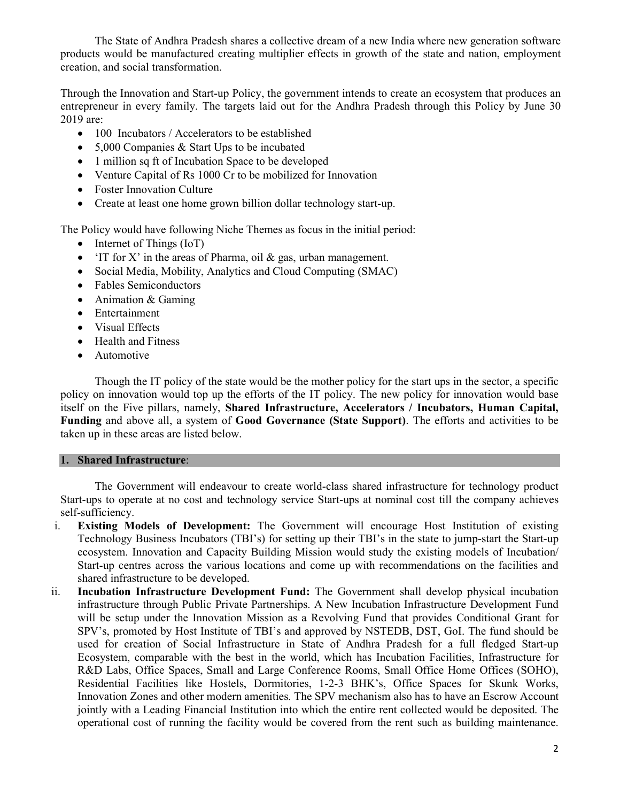The State of Andhra Pradesh shares a collective dream of a new India where new generation software products would be manufactured creating multiplier effects in growth of the state and nation, employment creation, and social transformation.

Through the Innovation and Start-up Policy, the government intends to create an ecosystem that produces an entrepreneur in every family. The targets laid out for the Andhra Pradesh through this Policy by June 30 2019 are:

- 100 Incubators / Accelerators to be established
- 5,000 Companies & Start Ups to be incubated
- 1 million sq ft of Incubation Space to be developed
- Venture Capital of Rs 1000 Cr to be mobilized for Innovation
- Foster Innovation Culture
- Create at least one home grown billion dollar technology start-up.

The Policy would have following Niche Themes as focus in the initial period:

- Internet of Things (IoT)
- 'IT for X' in the areas of Pharma, oil  $\&$  gas, urban management.
- Social Media, Mobility, Analytics and Cloud Computing (SMAC)
- Fables Semiconductors
- Animation & Gaming
- Entertainment
- Visual Effects
- Health and Fitness
- Automotive

Though the IT policy of the state would be the mother policy for the start ups in the sector, a specific policy on innovation would top up the efforts of the IT policy. The new policy for innovation would base itself on the Five pillars, namely, **Shared Infrastructure, Accelerators / Incubators, Human Capital, Funding** and above all, a system of **Good Governance (State Support)**. The efforts and activities to be taken up in these areas are listed below.

#### **1. Shared Infrastructure**:

The Government will endeavour to create world-class shared infrastructure for technology product Start-ups to operate at no cost and technology service Start-ups at nominal cost till the company achieves self-sufficiency.

- i. **Existing Models of Development:** The Government will encourage Host Institution of existing Technology Business Incubators (TBI's) for setting up their TBI's in the state to jump-start the Start-up ecosystem. Innovation and Capacity Building Mission would study the existing models of Incubation/ Start-up centres across the various locations and come up with recommendations on the facilities and shared infrastructure to be developed.
- ii. **Incubation Infrastructure Development Fund:** The Government shall develop physical incubation infrastructure through Public Private Partnerships. A New Incubation Infrastructure Development Fund will be setup under the Innovation Mission as a Revolving Fund that provides Conditional Grant for SPV's, promoted by Host Institute of TBI's and approved by NSTEDB, DST, GoI. The fund should be used for creation of Social Infrastructure in State of Andhra Pradesh for a full fledged Start-up Ecosystem, comparable with the best in the world, which has Incubation Facilities, Infrastructure for R&D Labs, Office Spaces, Small and Large Conference Rooms, Small Office Home Offices (SOHO), Residential Facilities like Hostels, Dormitories, 1-2-3 BHK's, Office Spaces for Skunk Works, Innovation Zones and other modern amenities. The SPV mechanism also has to have an Escrow Account jointly with a Leading Financial Institution into which the entire rent collected would be deposited. The operational cost of running the facility would be covered from the rent such as building maintenance.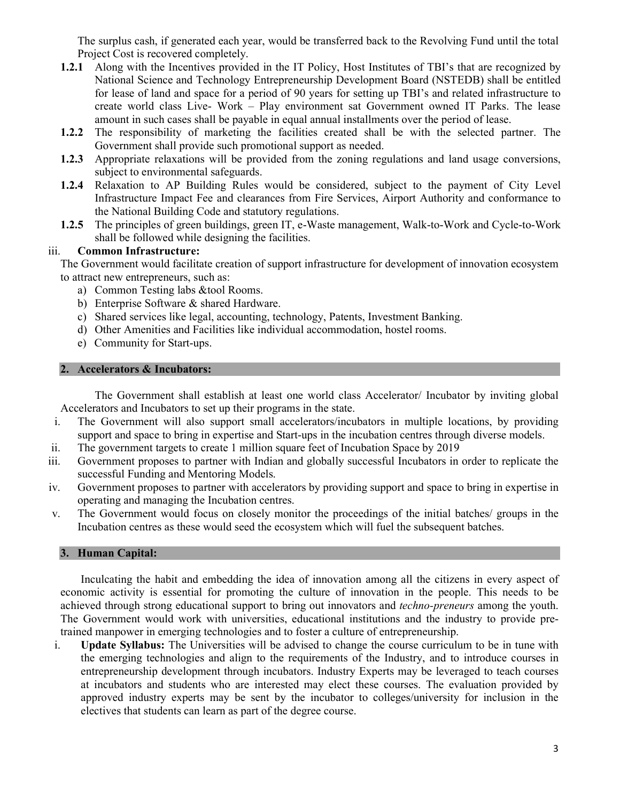The surplus cash, if generated each year, would be transferred back to the Revolving Fund until the total Project Cost is recovered completely.

- **1.2.1** Along with the Incentives provided in the IT Policy, Host Institutes of TBI's that are recognized by National Science and Technology Entrepreneurship Development Board (NSTEDB) shall be entitled for lease of land and space for a period of 90 years for setting up TBI's and related infrastructure to create world class Live- Work – Play environment sat Government owned IT Parks. The lease amount in such cases shall be payable in equal annual installments over the period of lease.
- **1.2.2** The responsibility of marketing the facilities created shall be with the selected partner. The Government shall provide such promotional support as needed.
- **1.2.3** Appropriate relaxations will be provided from the zoning regulations and land usage conversions, subject to environmental safeguards.
- **1.2.4** Relaxation to AP Building Rules would be considered, subject to the payment of City Level Infrastructure Impact Fee and clearances from Fire Services, Airport Authority and conformance to the National Building Code and statutory regulations.
- **1.2.5** The principles of green buildings, green IT, e-Waste management, Walk-to-Work and Cycle-to-Work shall be followed while designing the facilities.

# iii. **Common Infrastructure:**

The Government would facilitate creation of support infrastructure for development of innovation ecosystem to attract new entrepreneurs, such as:

- a) Common Testing labs &tool Rooms.
- b) Enterprise Software & shared Hardware.
- c) Shared services like legal, accounting, technology, Patents, Investment Banking.
- d) Other Amenities and Facilities like individual accommodation, hostel rooms.
- e) Community for Start-ups.

# **2. Accelerators & Incubators:**

The Government shall establish at least one world class Accelerator/ Incubator by inviting global Accelerators and Incubators to set up their programs in the state.

- i. The Government will also support small accelerators/incubators in multiple locations, by providing support and space to bring in expertise and Start-ups in the incubation centres through diverse models.
- ii. The government targets to create 1 million square feet of Incubation Space by 2019
- iii. Government proposes to partner with Indian and globally successful Incubators in order to replicate the successful Funding and Mentoring Models.
- iv. Government proposes to partner with accelerators by providing support and space to bring in expertise in operating and managing the Incubation centres.
- v. The Government would focus on closely monitor the proceedings of the initial batches/ groups in the Incubation centres as these would seed the ecosystem which will fuel the subsequent batches.

# **3. Human Capital:**

Inculcating the habit and embedding the idea of innovation among all the citizens in every aspect of economic activity is essential for promoting the culture of innovation in the people. This needs to be achieved through strong educational support to bring out innovators and *techno-preneurs* among the youth. The Government would work with universities, educational institutions and the industry to provide pretrained manpower in emerging technologies and to foster a culture of entrepreneurship.

i. **Update Syllabus:** The Universities will be advised to change the course curriculum to be in tune with the emerging technologies and align to the requirements of the Industry, and to introduce courses in entrepreneurship development through incubators. Industry Experts may be leveraged to teach courses at incubators and students who are interested may elect these courses. The evaluation provided by approved industry experts may be sent by the incubator to colleges/university for inclusion in the electives that students can learn as part of the degree course.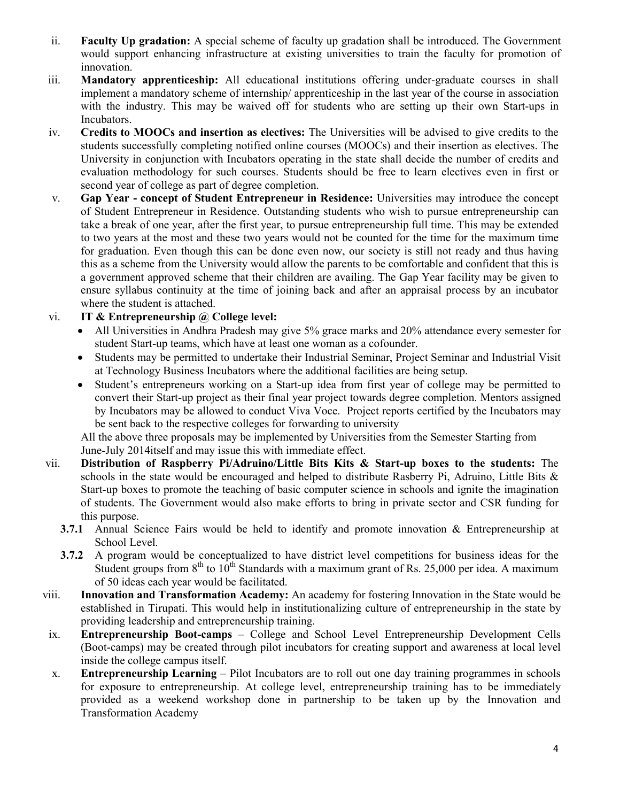- ii. **Faculty Up gradation:** A special scheme of faculty up gradation shall be introduced. The Government would support enhancing infrastructure at existing universities to train the faculty for promotion of innovation.
- iii. **Mandatory apprenticeship:** All educational institutions offering under-graduate courses in shall implement a mandatory scheme of internship/ apprenticeship in the last year of the course in association with the industry. This may be waived off for students who are setting up their own Start-ups in Incubators.
- iv. **Credits to MOOCs and insertion as electives:** The Universities will be advised to give credits to the students successfully completing notified online courses (MOOCs) and their insertion as electives. The University in conjunction with Incubators operating in the state shall decide the number of credits and evaluation methodology for such courses. Students should be free to learn electives even in first or second year of college as part of degree completion.
- v. **Gap Year concept of Student Entrepreneur in Residence:** Universities may introduce the concept of Student Entrepreneur in Residence. Outstanding students who wish to pursue entrepreneurship can take a break of one year, after the first year, to pursue entrepreneurship full time. This may be extended to two years at the most and these two years would not be counted for the time for the maximum time for graduation. Even though this can be done even now, our society is still not ready and thus having this as a scheme from the University would allow the parents to be comfortable and confident that this is a government approved scheme that their children are availing. The Gap Year facility may be given to ensure syllabus continuity at the time of joining back and after an appraisal process by an incubator where the student is attached.

# vi. **IT & Entrepreneurship @ College level:**

- All Universities in Andhra Pradesh may give 5% grace marks and 20% attendance every semester for student Start-up teams, which have at least one woman as a cofounder.
- Students may be permitted to undertake their Industrial Seminar, Project Seminar and Industrial Visit at Technology Business Incubators where the additional facilities are being setup.
- Student's entrepreneurs working on a Start-up idea from first year of college may be permitted to convert their Start-up project as their final year project towards degree completion. Mentors assigned by Incubators may be allowed to conduct Viva Voce. Project reports certified by the Incubators may be sent back to the respective colleges for forwarding to university

All the above three proposals may be implemented by Universities from the Semester Starting from June-July 2014itself and may issue this with immediate effect.

- vii. **Distribution of Raspberry Pi/Adruino/Little Bits Kits & Start-up boxes to the students:** The schools in the state would be encouraged and helped to distribute Rasberry Pi, Adruino, Little Bits  $\&$ Start-up boxes to promote the teaching of basic computer science in schools and ignite the imagination of students. The Government would also make efforts to bring in private sector and CSR funding for this purpose.
	- **3.7.1** Annual Science Fairs would be held to identify and promote innovation & Entrepreneurship at School Level.
	- **3.7.2** A program would be conceptualized to have district level competitions for business ideas for the Student groups from  $8<sup>th</sup>$  to  $10<sup>th</sup>$  Standards with a maximum grant of Rs. 25,000 per idea. A maximum of 50 ideas each year would be facilitated.
- viii. **Innovation and Transformation Academy:** An academy for fostering Innovation in the State would be established in Tirupati. This would help in institutionalizing culture of entrepreneurship in the state by providing leadership and entrepreneurship training.
- ix. **Entrepreneurship Boot-camps** College and School Level Entrepreneurship Development Cells (Boot-camps) may be created through pilot incubators for creating support and awareness at local level inside the college campus itself.
- x. **Entrepreneurship Learning** Pilot Incubators are to roll out one day training programmes in schools for exposure to entrepreneurship. At college level, entrepreneurship training has to be immediately provided as a weekend workshop done in partnership to be taken up by the Innovation and Transformation Academy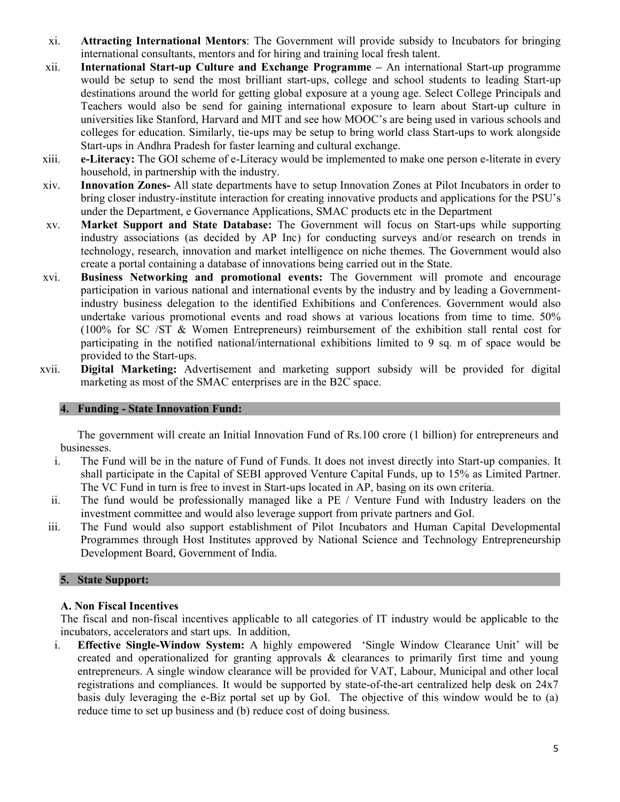- xi. **Attracting International Mentors**: The Government will provide subsidy to Incubators for bringing international consultants, mentors and for hiring and training local fresh talent.
- xii. **International Start-up Culture and Exchange Programme** An international Start-up programme would be setup to send the most brilliant start-ups, college and school students to leading Start-up destinations around the world for getting global exposure at a young age. Select College Principals and Teachers would also be send for gaining international exposure to learn about Start-up culture in universities like Stanford, Harvard and MIT and see how MOOC's are being used in various schools and colleges for education. Similarly, tie-ups may be setup to bring world class Start-ups to work alongside Start-ups in Andhra Pradesh for faster learning and cultural exchange.
- xiii. **e-Literacy:** The GOI scheme of e-Literacy would be implemented to make one person e-literate in every household, in partnership with the industry.
- xiv. **Innovation Zones-** All state departments have to setup Innovation Zones at Pilot Incubators in order to bring closer industry-institute interaction for creating innovative products and applications for the PSU's under the Department, e Governance Applications, SMAC products etc in the Department
- xv. **Market Support and State Database:** The Government will focus on Start-ups while supporting industry associations (as decided by AP Inc) for conducting surveys and/or research on trends in technology, research, innovation and market intelligence on niche themes. The Government would also create a portal containing a database of innovations being carried out in the State.
- xvi. **Business Networking and promotional events:** The Government will promote and encourage participation in various national and international events by the industry and by leading a Governmentindustry business delegation to the identified Exhibitions and Conferences. Government would also undertake various promotional events and road shows at various locations from time to time. 50% (100% for SC /ST & Women Entrepreneurs) reimbursement of the exhibition stall rental cost for participating in the notified national/international exhibitions limited to 9 sq. m of space would be provided to the Start-ups.
- xvii. **Digital Marketing:** Advertisement and marketing support subsidy will be provided for digital marketing as most of the SMAC enterprises are in the B2C space.

# **4. Funding - State Innovation Fund:**

The government will create an Initial Innovation Fund of Rs.100 crore (1 billion) for entrepreneurs and businesses.

- i. The Fund will be in the nature of Fund of Funds. It does not invest directly into Start-up companies. It shall participate in the Capital of SEBI approved Venture Capital Funds, up to 15% as Limited Partner. The VC Fund in turn is free to invest in Start-ups located in AP, basing on its own criteria.
- ii. The fund would be professionally managed like a PE / Venture Fund with Industry leaders on the investment committee and would also leverage support from private partners and GoI.
- iii. The Fund would also support establishment of Pilot Incubators and Human Capital Developmental Programmes through Host Institutes approved by National Science and Technology Entrepreneurship Development Board, Government of India.

# **5. State Support:**

# **A. Non Fiscal Incentives**

The fiscal and non-fiscal incentives applicable to all categories of IT industry would be applicable to the incubators, accelerators and start ups. In addition,

i. **Effective Single-Window System:** A highly empowered 'Single Window Clearance Unit' will be created and operationalized for granting approvals  $\&$  clearances to primarily first time and young entrepreneurs. A single window clearance will be provided for VAT, Labour, Municipal and other local registrations and compliances. It would be supported by state-of-the-art centralized help desk on 24x7 basis duly leveraging the e-Biz portal set up by GoI. The objective of this window would be to (a) reduce time to set up business and (b) reduce cost of doing business.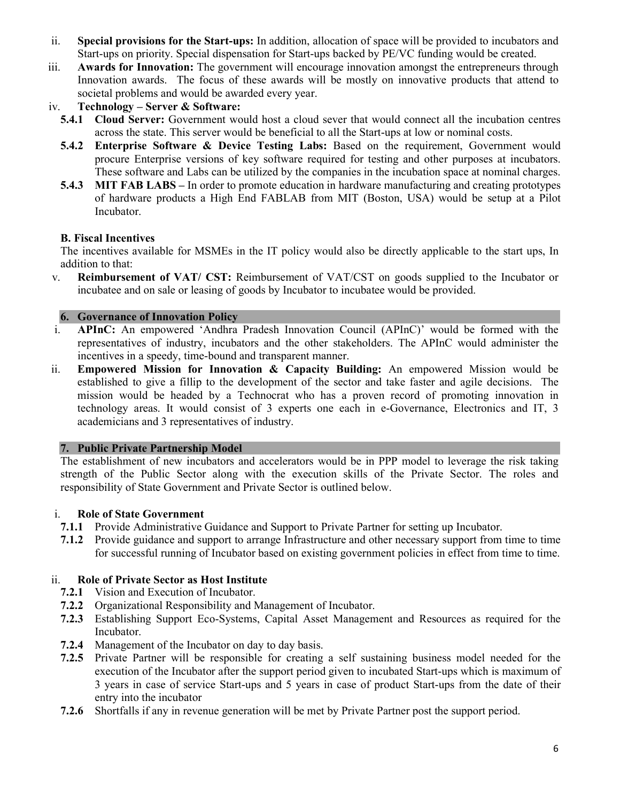- ii. **Special provisions for the Start-ups:** In addition, allocation of space will be provided to incubators and Start-ups on priority. Special dispensation for Start-ups backed by PE/VC funding would be created.
- iii. **Awards for Innovation:** The government will encourage innovation amongst the entrepreneurs through Innovation awards. The focus of these awards will be mostly on innovative products that attend to societal problems and would be awarded every year.
- iv. **Technology Server & Software:** 
	- **5.4.1 Cloud Server:** Government would host a cloud sever that would connect all the incubation centres across the state. This server would be beneficial to all the Start-ups at low or nominal costs.
	- **5.4.2 Enterprise Software & Device Testing Labs:** Based on the requirement, Government would procure Enterprise versions of key software required for testing and other purposes at incubators. These software and Labs can be utilized by the companies in the incubation space at nominal charges.
	- **5.4.3 MIT FAB LABS** In order to promote education in hardware manufacturing and creating prototypes of hardware products a High End FABLAB from MIT (Boston, USA) would be setup at a Pilot Incubator.

# **B. Fiscal Incentives**

The incentives available for MSMEs in the IT policy would also be directly applicable to the start ups, In addition to that:

v. **Reimbursement of VAT/ CST:** Reimbursement of VAT/CST on goods supplied to the Incubator or incubatee and on sale or leasing of goods by Incubator to incubatee would be provided.

#### **6. Governance of Innovation Policy**

- i. **APInC:** An empowered 'Andhra Pradesh Innovation Council (APInC)' would be formed with the representatives of industry, incubators and the other stakeholders. The APInC would administer the incentives in a speedy, time-bound and transparent manner.
- ii. **Empowered Mission for Innovation & Capacity Building:** An empowered Mission would be established to give a fillip to the development of the sector and take faster and agile decisions. The mission would be headed by a Technocrat who has a proven record of promoting innovation in technology areas. It would consist of 3 experts one each in e-Governance, Electronics and IT, 3 academicians and 3 representatives of industry.

#### **7. Public Private Partnership Model**

The establishment of new incubators and accelerators would be in PPP model to leverage the risk taking strength of the Public Sector along with the execution skills of the Private Sector. The roles and responsibility of State Government and Private Sector is outlined below.

# i. **Role of State Government**

- **7.1.1** Provide Administrative Guidance and Support to Private Partner for setting up Incubator.
- **7.1.2** Provide guidance and support to arrange Infrastructure and other necessary support from time to time for successful running of Incubator based on existing government policies in effect from time to time.

# ii. **Role of Private Sector as Host Institute**

- **7.2.1** Vision and Execution of Incubator.
- **7.2.2** Organizational Responsibility and Management of Incubator.
- **7.2.3** Establishing Support Eco-Systems, Capital Asset Management and Resources as required for the Incubator.
- **7.2.4** Management of the Incubator on day to day basis.
- **7.2.5** Private Partner will be responsible for creating a self sustaining business model needed for the execution of the Incubator after the support period given to incubated Start-ups which is maximum of 3 years in case of service Start-ups and 5 years in case of product Start-ups from the date of their entry into the incubator
- **7.2.6** Shortfalls if any in revenue generation will be met by Private Partner post the support period.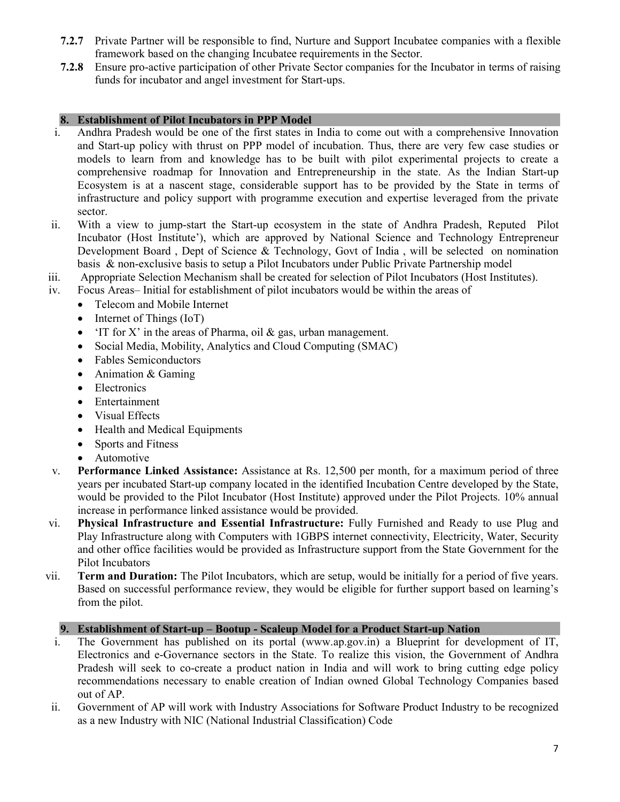- **7.2.7** Private Partner will be responsible to find, Nurture and Support Incubatee companies with a flexible framework based on the changing Incubatee requirements in the Sector.
- **7.2.8** Ensure pro-active participation of other Private Sector companies for the Incubator in terms of raising funds for incubator and angel investment for Start-ups.

# **8. Establishment of Pilot Incubators in PPP Model**

- i. Andhra Pradesh would be one of the first states in India to come out with a comprehensive Innovation and Start-up policy with thrust on PPP model of incubation. Thus, there are very few case studies or models to learn from and knowledge has to be built with pilot experimental projects to create a comprehensive roadmap for Innovation and Entrepreneurship in the state. As the Indian Start-up Ecosystem is at a nascent stage, considerable support has to be provided by the State in terms of infrastructure and policy support with programme execution and expertise leveraged from the private sector.
- ii. With a view to jump-start the Start-up ecosystem in the state of Andhra Pradesh, Reputed Pilot Incubator (Host Institute'), which are approved by National Science and Technology Entrepreneur Development Board , Dept of Science & Technology, Govt of India , will be selected on nomination basis & non-exclusive basis to setup a Pilot Incubators under Public Private Partnership model
- iii. Appropriate Selection Mechanism shall be created for selection of Pilot Incubators (Host Institutes).
- iv. Focus Areas– Initial for establishment of pilot incubators would be within the areas of
	- Telecom and Mobile Internet
	- Internet of Things (IoT)
	- 'IT for X' in the areas of Pharma, oil  $\&$  gas, urban management.
	- Social Media, Mobility, Analytics and Cloud Computing (SMAC)
	- Fables Semiconductors
	- Animation & Gaming
	- Electronics
	- Entertainment
	- Visual Effects
	- Health and Medical Equipments
	- Sports and Fitness
	- Automotive
- v. **Performance Linked Assistance:** Assistance at Rs. 12,500 per month, for a maximum period of three years per incubated Start-up company located in the identified Incubation Centre developed by the State, would be provided to the Pilot Incubator (Host Institute) approved under the Pilot Projects. 10% annual increase in performance linked assistance would be provided.
- vi. **Physical Infrastructure and Essential Infrastructure:** Fully Furnished and Ready to use Plug and Play Infrastructure along with Computers with 1GBPS internet connectivity, Electricity, Water, Security and other office facilities would be provided as Infrastructure support from the State Government for the Pilot Incubators
- vii. **Term and Duration:** The Pilot Incubators, which are setup, would be initially for a period of five years. Based on successful performance review, they would be eligible for further support based on learning's from the pilot.

# **9. Establishment of Start-up – Bootup - Scaleup Model for a Product Start-up Nation**

- i. The Government has published on its portal (www.ap.gov.in) a Blueprint for development of IT, Electronics and e-Governance sectors in the State. To realize this vision, the Government of Andhra Pradesh will seek to co-create a product nation in India and will work to bring cutting edge policy recommendations necessary to enable creation of Indian owned Global Technology Companies based out of AP.
- ii. Government of AP will work with Industry Associations for Software Product Industry to be recognized as a new Industry with NIC (National Industrial Classification) Code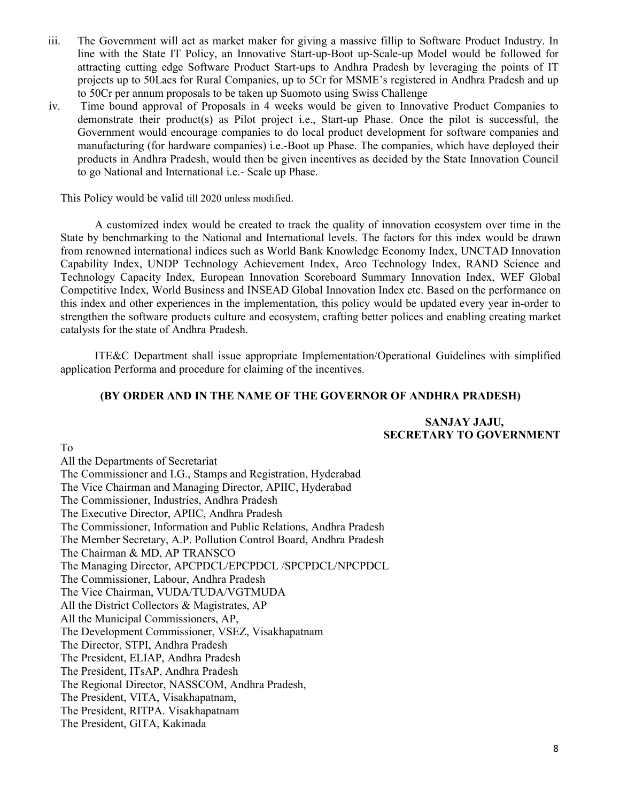- iii. The Government will act as market maker for giving a massive fillip to Software Product Industry. In line with the State IT Policy, an Innovative Start-up-Boot up-Scale-up Model would be followed for attracting cutting edge Software Product Start-ups to Andhra Pradesh by leveraging the points of IT projects up to 50Lacs for Rural Companies, up to 5Cr for MSME's registered in Andhra Pradesh and up to 50Cr per annum proposals to be taken up Suomoto using Swiss Challenge
- iv. Time bound approval of Proposals in 4 weeks would be given to Innovative Product Companies to demonstrate their product(s) as Pilot project i.e., Start-up Phase. Once the pilot is successful, the Government would encourage companies to do local product development for software companies and manufacturing (for hardware companies) i.e.-Boot up Phase. The companies, which have deployed their products in Andhra Pradesh, would then be given incentives as decided by the State Innovation Council to go National and International i.e.- Scale up Phase.

This Policy would be valid till 2020 unless modified.

A customized index would be created to track the quality of innovation ecosystem over time in the State by benchmarking to the National and International levels. The factors for this index would be drawn from renowned international indices such as World Bank Knowledge Economy Index, UNCTAD Innovation Capability Index, UNDP Technology Achievement Index, Arco Technology Index, RAND Science and Technology Capacity Index, European Innovation Scoreboard Summary Innovation Index, WEF Global Competitive Index, World Business and INSEAD Global Innovation Index etc. Based on the performance on this index and other experiences in the implementation, this policy would be updated every year in-order to strengthen the software products culture and ecosystem, crafting better polices and enabling creating market catalysts for the state of Andhra Pradesh.

ITE&C Department shall issue appropriate Implementation/Operational Guidelines with simplified application Performa and procedure for claiming of the incentives.

#### **(BY ORDER AND IN THE NAME OF THE GOVERNOR OF ANDHRA PRADESH)**

# **SANJAY JAJU, SECRETARY TO GOVERNMENT**

To All the Departments of Secretariat The Commissioner and I.G., Stamps and Registration, Hyderabad The Vice Chairman and Managing Director, APIIC, Hyderabad The Commissioner, Industries, Andhra Pradesh The Executive Director, APIIC, Andhra Pradesh The Commissioner, Information and Public Relations, Andhra Pradesh The Member Secretary, A.P. Pollution Control Board, Andhra Pradesh The Chairman & MD, AP TRANSCO The Managing Director, APCPDCL/EPCPDCL /SPCPDCL/NPCPDCL The Commissioner, Labour, Andhra Pradesh The Vice Chairman, VUDA/TUDA/VGTMUDA All the District Collectors & Magistrates, AP All the Municipal Commissioners, AP, The Development Commissioner, VSEZ, Visakhapatnam The Director, STPI, Andhra Pradesh The President, ELIAP, Andhra Pradesh The President, ITsAP, Andhra Pradesh The Regional Director, NASSCOM, Andhra Pradesh, The President, VITA, Visakhapatnam, The President, RITPA. Visakhapatnam The President, GITA, Kakinada